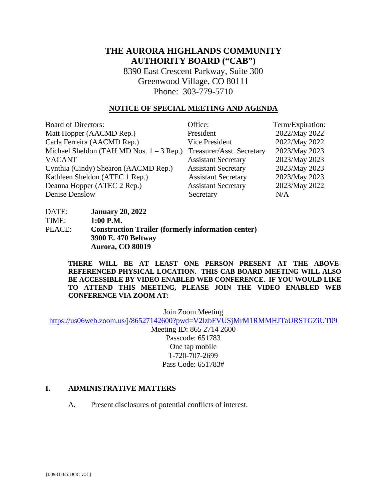# **THE AURORA HIGHLANDS COMMUNITY AUTHORITY BOARD ("CAB")**

8390 East Crescent Parkway, Suite 300 Greenwood Village, CO 80111 Phone: 303-779-5710

#### **NOTICE OF SPECIAL MEETING AND AGENDA**

| <b>Board of Directors:</b>                 | Office:                    | Term/Expiration: |
|--------------------------------------------|----------------------------|------------------|
| Matt Hopper (AACMD Rep.)                   | President                  | 2022/May 2022    |
| Carla Ferreira (AACMD Rep.)                | Vice President             | 2022/May 2022    |
| Michael Sheldon (TAH MD Nos. $1 - 3$ Rep.) | Treasurer/Asst. Secretary  | 2023/May 2023    |
| <b>VACANT</b>                              | <b>Assistant Secretary</b> | 2023/May 2023    |
| Cynthia (Cindy) Shearon (AACMD Rep.)       | <b>Assistant Secretary</b> | 2023/May 2023    |
| Kathleen Sheldon (ATEC 1 Rep.)             | <b>Assistant Secretary</b> | 2023/May 2023    |
| Deanna Hopper (ATEC 2 Rep.)                | <b>Assistant Secretary</b> | 2023/May 2022    |
| Denise Denslow                             | Secretary                  | N/A              |

| DATE:  | <b>January 20, 2022</b>                                   |
|--------|-----------------------------------------------------------|
| TIME:  | $1:00$ P.M.                                               |
| PLACE: | <b>Construction Trailer (formerly information center)</b> |
|        | 3900 E. 470 Beltway                                       |
|        | Aurora, CO 80019                                          |

**THERE WILL BE AT LEAST ONE PERSON PRESENT AT THE ABOVE-REFERENCED PHYSICAL LOCATION. THIS CAB BOARD MEETING WILL ALSO BE ACCESSIBLE BY VIDEO ENABLED WEB CONFERENCE. IF YOU WOULD LIKE TO ATTEND THIS MEETING, PLEASE JOIN THE VIDEO ENABLED WEB CONFERENCE VIA ZOOM AT:**

Join Zoom Meeting

<https://us06web.zoom.us/j/86527142600?pwd=V2lzbFVUSjMrM1RMMHJTaURSTGZiUT09>

Meeting ID: 865 2714 2600 Passcode: 651783 One tap mobile 1-720-707-2699 Pass Code: 651783#

### **I. ADMINISTRATIVE MATTERS**

A. Present disclosures of potential conflicts of interest.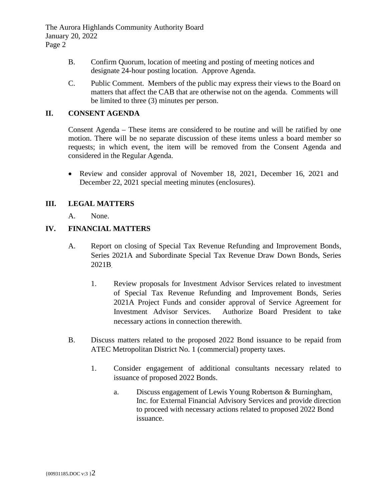The Aurora Highlands Community Authority Board January 20, 2022 Page 2

- B. Confirm Quorum, location of meeting and posting of meeting notices and designate 24-hour posting location. Approve Agenda.
- C. Public Comment. Members of the public may express their views to the Board on matters that affect the CAB that are otherwise not on the agenda. Comments will be limited to three (3) minutes per person.

## **II. CONSENT AGENDA**

Consent Agenda – These items are considered to be routine and will be ratified by one motion. There will be no separate discussion of these items unless a board member so requests; in which event, the item will be removed from the Consent Agenda and considered in the Regular Agenda.

• Review and consider approval of November 18, 2021, December 16, 2021 and December 22, 2021 special meeting minutes (enclosures).

## **III. LEGAL MATTERS**

A. None.

## **IV. FINANCIAL MATTERS**

- A. Report on closing of Special Tax Revenue Refunding and Improvement Bonds, Series 2021A and Subordinate Special Tax Revenue Draw Down Bonds, Series 2021B.
	- 1. Review proposals for Investment Advisor Services related to investment of Special Tax Revenue Refunding and Improvement Bonds, Series 2021A Project Funds and consider approval of Service Agreement for Investment Advisor Services. Authorize Board President to take necessary actions in connection therewith.
- B. Discuss matters related to the proposed 2022 Bond issuance to be repaid from ATEC Metropolitan District No. 1 (commercial) property taxes.
	- 1. Consider engagement of additional consultants necessary related to issuance of proposed 2022 Bonds.
		- a. Discuss engagement of Lewis Young Robertson & Burningham, Inc. for External Financial Advisory Services and provide direction to proceed with necessary actions related to proposed 2022 Bond issuance.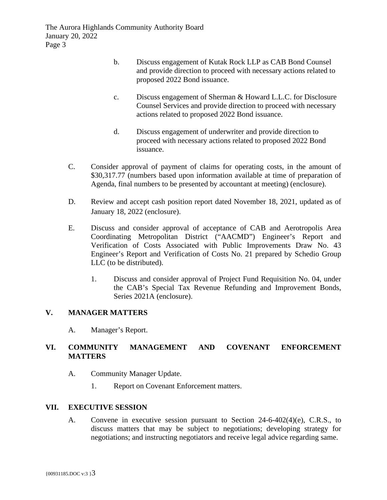- b. Discuss engagement of Kutak Rock LLP as CAB Bond Counsel and provide direction to proceed with necessary actions related to proposed 2022 Bond issuance.
- c. Discuss engagement of Sherman & Howard L.L.C. for Disclosure Counsel Services and provide direction to proceed with necessary actions related to proposed 2022 Bond issuance.
- d. Discuss engagement of underwriter and provide direction to proceed with necessary actions related to proposed 2022 Bond issuance.
- C. Consider approval of payment of claims for operating costs, in the amount of \$30,317.77 (numbers based upon information available at time of preparation of Agenda, final numbers to be presented by accountant at meeting) (enclosure).
- D. Review and accept cash position report dated November 18, 2021, updated as of January 18, 2022 (enclosure).
- E. Discuss and consider approval of acceptance of CAB and Aerotropolis Area Coordinating Metropolitan District ("AACMD") Engineer's Report and Verification of Costs Associated with Public Improvements Draw No. 43 Engineer's Report and Verification of Costs No. 21 prepared by Schedio Group LLC (to be distributed).
	- 1. Discuss and consider approval of Project Fund Requisition No. 04, under the CAB's Special Tax Revenue Refunding and Improvement Bonds, Series 2021A (enclosure).

## **V. MANAGER MATTERS**

A. Manager's Report.

## **VI. COMMUNITY MANAGEMENT AND COVENANT ENFORCEMENT MATTERS**

- A. Community Manager Update.
	- 1. Report on Covenant Enforcement matters.

### **VII. EXECUTIVE SESSION**

A. Convene in executive session pursuant to Section 24-6-402(4)(e), C.R.S., to discuss matters that may be subject to negotiations; developing strategy for negotiations; and instructing negotiators and receive legal advice regarding same.